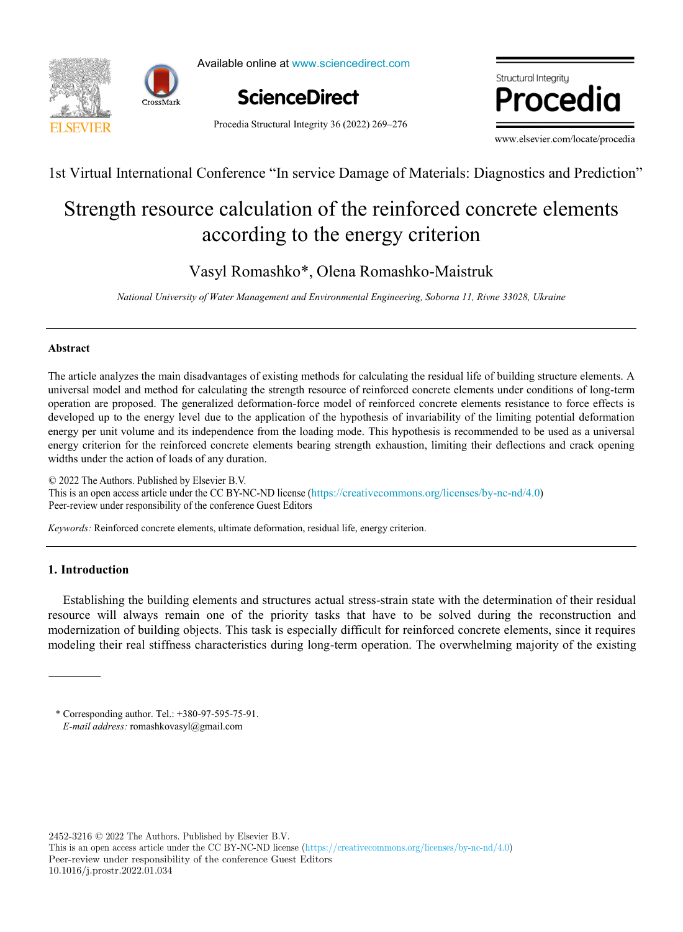



Available online at www.sciencedirect.com

Procedia Structural Integrity 36 (2022) 269–276

**ScienceDirect**

 $\bullet$  and located proceding  $\bullet$ 

www.elsevier.com/locate/procedia

1st Virtual International Conference "In service Damage of Materials: Diagnostics and Prediction"

# Strength resource calculation of the reinforced concrete elements according to the energy criterion

Vasyl Romashko\*, Olena Romashko-Maistruk

*National University of Water Management and Environmental Engineering, Soborna 11, Rivne 33028, Ukraine*

## **Abstract**

The article analyzes the main disadvantages of existing methods for calculating the residual life of building structure elements. A universal model and method for calculating the strength resource of reinforced concrete elements under conditions of long-term operation are proposed. The generalized deformation-force model of reinforced concrete elements resistance to force effects is developed up to the energy level due to the application of the hypothesis of invariability of the limiting potential deformation energy per unit volume and its independence from the loading mode. This hypothesis is recommended to be used as a universal energy criterion for the reinforced concrete elements bearing strength exhaustion, limiting their deflections and crack opening widths under the action of loads of any duration.

© 2022 The Authors. Published by Elsevier B.V. This is an open access article under the CC BY-NC-ND license (https://creativecommons.org/licenses/by-nc-nd/4.0) This is an open access article under the CC BY-NC-ND license (https://creativecommons.org/ncenses/by-nc-nd/4.0)<br>Peer-review under responsibility of the conference Guest Editors Peer-review under responsibility of the conference Guest Editors

*Keywords:* Reinforced concrete elements, ultimate deformation, residual life, energy criterion.

# **1. Introduction**

Establishing the building elements and structures actual stress-strain state with the determination of their residual resource will always remain one of the priority tasks that have to be solved during the reconstruction and modernization of building objects. This task is especially difficult for reinforced concrete elements, since it requires modeling their real stiffness characteristics during long-term operation. The overwhelming majority of the existing

2452-3216 © 2022 The Authors. Published by Elsevier B.V.

This is an open access article under the CC BY-NC-ND license (https://creativecommons.org/licenses/by-nc-nd/4.0) Peer-review under responsibility of the conference Guest Editors 10.1016/j.prostr.2022.01.034

<sup>\*</sup> Corresponding author. Tel.: +380-97-595-75-91. *E-mail address:* romashkovasyl@gmail.com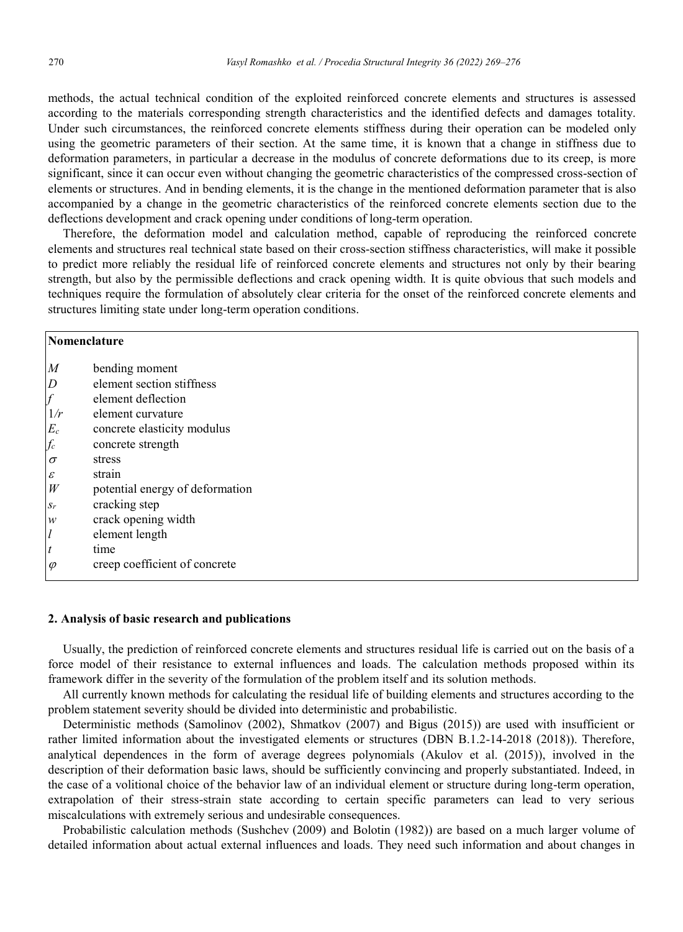methods, the actual technical condition of the exploited reinforced concrete elements and structures is assessed according to the materials corresponding strength characteristics and the identified defects and damages totality. Under such circumstances, the reinforced concrete elements stiffness during their operation can be modeled only using the geometric parameters of their section. At the same time, it is known that a change in stiffness due to deformation parameters, in particular a decrease in the modulus of concrete deformations due to its creep, is more significant, since it can occur even without changing the geometric characteristics of the compressed cross-section of elements or structures. And in bending elements, it is the change in the mentioned deformation parameter that is also accompanied by a change in the geometric characteristics of the reinforced concrete elements section due to the deflections development and crack opening under conditions of long-term operation.

Therefore, the deformation model and calculation method, capable of reproducing the reinforced concrete elements and structures real technical state based on their cross-section stiffness characteristics, will make it possible to predict more reliably the residual life of reinforced concrete elements and structures not only by their bearing strength, but also by the permissible deflections and crack opening width. It is quite obvious that such models and techniques require the formulation of absolutely clear criteria for the onset of the reinforced concrete elements and structures limiting state under long-term operation conditions.

| Nomenclature               |                                 |
|----------------------------|---------------------------------|
| $\boldsymbol{M}$           | bending moment                  |
| $\overline{D}$             | element section stiffness       |
| $\int$                     | element deflection              |
| 1/r                        | element curvature               |
| $E_{c}$                    | concrete elasticity modulus     |
| $f_c$                      | concrete strength               |
| $\sigma$                   | stress                          |
| $\boldsymbol{\mathcal{E}}$ | strain                          |
| W                          | potential energy of deformation |
| $S_r$                      | cracking step                   |
| w                          | crack opening width             |
| $\iota$                    | element length                  |
| $\boldsymbol{t}$           | time                            |
| $\varphi$                  | creep coefficient of concrete   |
|                            |                                 |

#### **2. Analysis of basic research and publications**

Usually, the prediction of reinforced concrete elements and structures residual life is carried out on the basis of a force model of their resistance to external influences and loads. The calculation methods proposed within its framework differ in the severity of the formulation of the problem itself and its solution methods.

All currently known methods for calculating the residual life of building elements and structures according to the problem statement severity should be divided into deterministic and probabilistic.

Deterministic methods (Samolinov (2002), Shmatkov (2007) and Bigus (2015)) are used with insufficient or rather limited information about the investigated elements or structures (DBN B.1.2-14-2018 (2018)). Therefore, analytical dependences in the form of average degrees polynomials (Akulov et al. (2015)), involved in the description of their deformation basic laws, should be sufficiently convincing and properly substantiated. Indeed, in the case of a volitional choice of the behavior law of an individual element or structure during long-term operation, extrapolation of their stress-strain state according to certain specific parameters can lead to very serious miscalculations with extremely serious and undesirable consequences.

Probabilistic calculation methods (Sushchev (2009) and Bolotin (1982)) are based on a much larger volume of detailed information about actual external influences and loads. They need such information and about changes in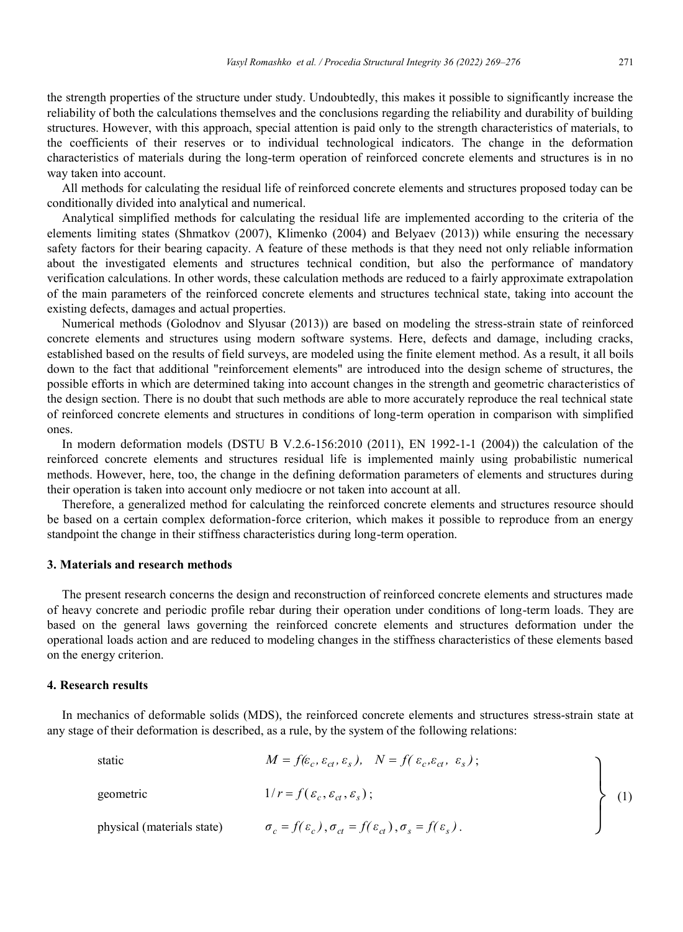All methods for calculating the residual life of reinforced concrete elements and structures proposed today can be conditionally divided into analytical and numerical.

Analytical simplified methods for calculating the residual life are implemented according to the criteria of the elements limiting states (Shmatkov (2007), Klimenko (2004) and Belyaev (2013)) while ensuring the necessary safety factors for their bearing capacity. A feature of these methods is that they need not only reliable information about the investigated elements and structures technical condition, but also the performance of mandatory verification calculations. In other words, these calculation methods are reduced to a fairly approximate extrapolation of the main parameters of the reinforced concrete elements and structures technical state, taking into account the existing defects, damages and actual properties.

Numerical methods (Golodnov and Slyusar (2013)) are based on modeling the stress-strain state of reinforced concrete elements and structures using modern software systems. Here, defects and damage, including cracks, established based on the results of field surveys, are modeled using the finite element method. As a result, it all boils down to the fact that additional "reinforcement elements" are introduced into the design scheme of structures, the possible efforts in which are determined taking into account changes in the strength and geometric characteristics of the design section. There is no doubt that such methods are able to more accurately reproduce the real technical state of reinforced concrete elements and structures in conditions of long-term operation in comparison with simplified ones.

In modern deformation models (DSTU B V.2.6-156:2010 (2011), EN 1992-1-1 (2004)) the calculation of the reinforced concrete elements and structures residual life is implemented mainly using probabilistic numerical methods. However, here, too, the change in the defining deformation parameters of elements and structures during their operation is taken into account only mediocre or not taken into account at all.

Therefore, a generalized method for calculating the reinforced concrete elements and structures resource should be based on a certain complex deformation-force criterion, which makes it possible to reproduce from an energy standpoint the change in their stiffness characteristics during long-term operation.

#### **3. Materials and research methods**

The present research concerns the design and reconstruction of reinforced concrete elements and structures made of heavy concrete and periodic profile rebar during their operation under conditions of long-term loads. They are based on the general laws governing the reinforced concrete elements and structures deformation under the operational loads action and are reduced to modeling changes in the stiffness characteristics of these elements based on the energy criterion.

## **4. Research results**

In mechanics of deformable solids (MDS), the reinforced concrete elements and structures stress-strain state at any stage of their deformation is described, as a rule, by the system of the following relations:

static 
$$
M = f(\varepsilon_c, \varepsilon_{ct}, \varepsilon_s)
$$
,  $N = f(\varepsilon_c, \varepsilon_{ct}, \varepsilon_s)$ ;  
\ngeometric  $1/r = f(\varepsilon_c, \varepsilon_{ct}, \varepsilon_s)$ ;  
\nphysical (materials state)  $\sigma_c = f(\varepsilon_c)$ ,  $\sigma_{ct} = f(\varepsilon_{ct})$ ,  $\sigma_s = f(\varepsilon_s)$ . (1)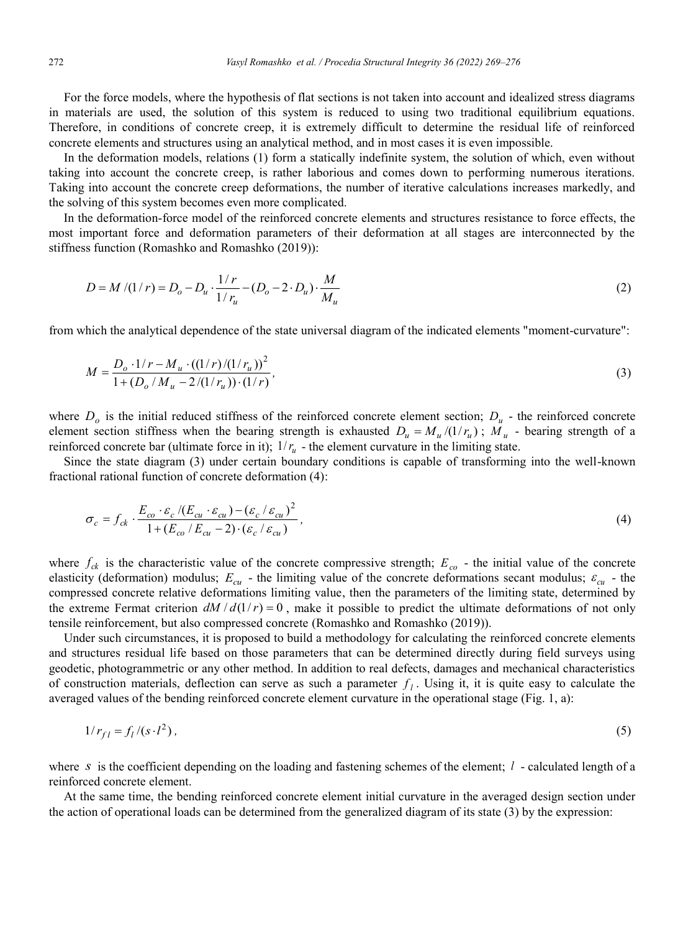For the force models, where the hypothesis of flat sections is not taken into account and idealized stress diagrams in materials are used, the solution of this system is reduced to using two traditional equilibrium equations. Therefore, in conditions of concrete creep, it is extremely difficult to determine the residual life of reinforced concrete elements and structures using an analytical method, and in most cases it is even impossible.

In the deformation models, relations (1) form a statically indefinite system, the solution of which, even without taking into account the concrete creep, is rather laborious and comes down to performing numerous iterations. Taking into account the concrete creep deformations, the number of iterative calculations increases markedly, and the solving of this system becomes even more complicated.

In the deformation-force model of the reinforced concrete elements and structures resistance to force effects, the most important force and deformation parameters of their deformation at all stages are interconnected by the stiffness function (Romashko and Romashko (2019)):

$$
D = M/(1/r) = D_o - D_u \cdot \frac{1/r}{1/r_u} - (D_o - 2 \cdot D_u) \cdot \frac{M}{M_u}
$$
 (2)

from which the analytical dependence of the state universal diagram of the indicated elements "moment-curvature":

$$
M = \frac{D_o \cdot 1/r - M_u \cdot ((1/r)/(1/r_u))^2}{1 + (D_o/M_u - 2/(1/r_u)) \cdot (1/r)},
$$
\n(3)

where  $D<sub>o</sub>$  is the initial reduced stiffness of the reinforced concrete element section;  $D<sub>u</sub>$  - the reinforced concrete element section stiffness when the bearing strength is exhausted  $D_u = M_u/(1/r_u)$ ;  $M_u$  - bearing strength of a reinforced concrete bar (ultimate force in it);  $1/r_a$  - the element curvature in the limiting state.

Since the state diagram (3) under certain boundary conditions is capable of transforming into the well-known fractional rational function of concrete deformation (4):

$$
\sigma_c = f_{ck} \cdot \frac{E_{co} \cdot \varepsilon_c / (E_{cu} \cdot \varepsilon_{cu}) - (\varepsilon_c / \varepsilon_{cu})^2}{1 + (E_{co} / E_{cu} - 2) \cdot (\varepsilon_c / \varepsilon_{cu})},
$$
\n(4)

where  $f_{ck}$  is the characteristic value of the concrete compressive strength;  $E_{co}$  - the initial value of the concrete elasticity (deformation) modulus;  $E_{cu}$  - the limiting value of the concrete deformations secant modulus;  $\varepsilon_{cu}$  - the compressed concrete relative deformations limiting value, then the parameters of the limiting state, determined by the extreme Fermat criterion  $dM/d(1/r) = 0$ , make it possible to predict the ultimate deformations of not only tensile reinforcement, but also compressed concrete (Romashko and Romashko (2019)).

Under such circumstances, it is proposed to build a methodology for calculating the reinforced concrete elements and structures residual life based on those parameters that can be determined directly during field surveys using geodetic, photogrammetric or any other method. In addition to real defects, damages and mechanical characteristics of construction materials, deflection can serve as such a parameter  $f_i$ . Using it, it is quite easy to calculate the averaged values of the bending reinforced concrete element curvature in the operational stage (Fig. 1, a):

$$
1/r_{fl} = f_l/(s \cdot l^2),\tag{5}
$$

where *s* is the coefficient depending on the loading and fastening schemes of the element; *l* - calculated length of a reinforced concrete element.

At the same time, the bending reinforced concrete element initial curvature in the averaged design section under the action of operational loads can be determined from the generalized diagram of its state (3) by the expression: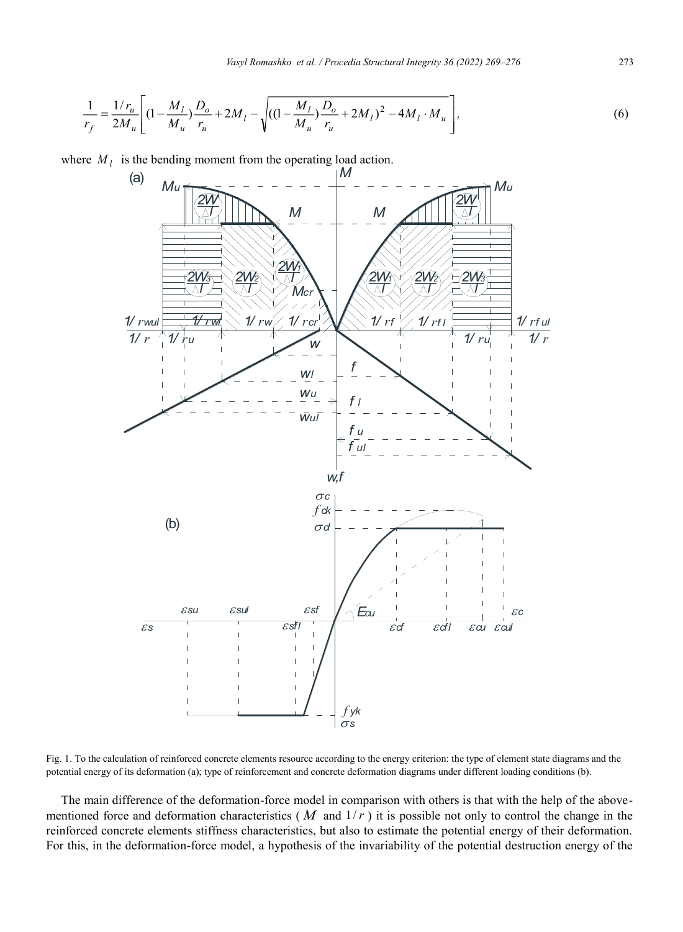$$
\frac{1}{r_f} = \frac{1/r_u}{2M_u} \left[ (1 - \frac{M_l}{M_u}) \frac{D_o}{r_u} + 2M_l - \sqrt{((1 - \frac{M_l}{M_u}) \frac{D_o}{r_u} + 2M_l)^2 - 4M_l \cdot M_u} \right],
$$
\n(6)

where  $M_l$  is the bending moment from the operating load action.



Fig. 1. To the calculation of reinforced concrete elements resource according to the energy criterion: the type of element state diagrams and the potential energy of its deformation (a); type of reinforcement and concrete deformation diagrams under different loading conditions (b).

The main difference of the deformation-force model in comparison with others is that with the help of the abovementioned force and deformation characteristics ( $M$  and  $1/r$ ) it is possible not only to control the change in the reinforced concrete elements stiffness characteristics, but also to estimate the potential energy of their deformation. For this, in the deformation-force model, a hypothesis of the invariability of the potential destruction energy of the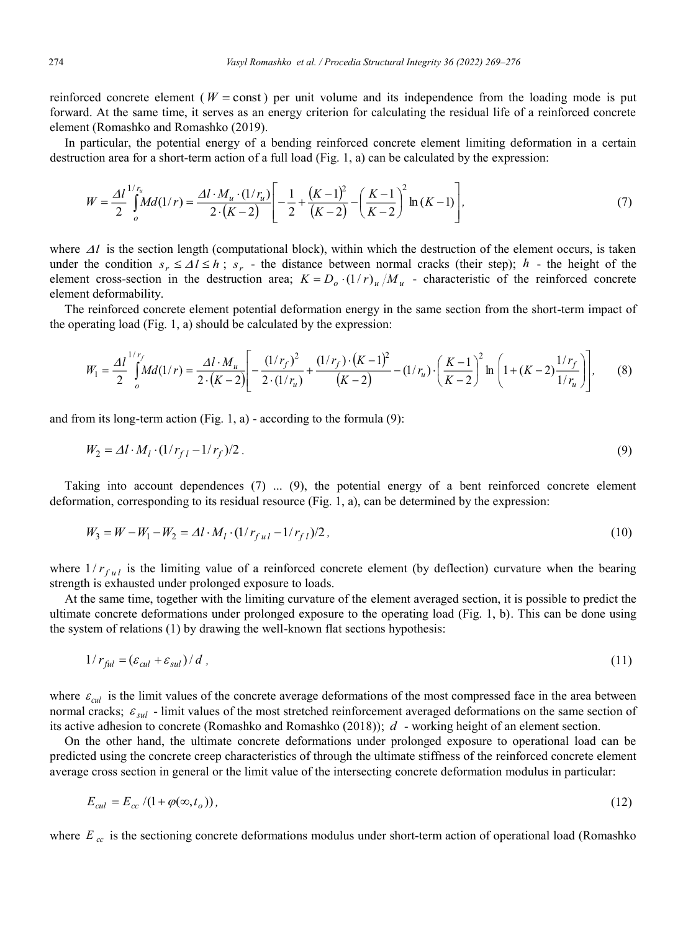reinforced concrete element ( $W = const$ ) per unit volume and its independence from the loading mode is put forward. At the same time, it serves as an energy criterion for calculating the residual life of a reinforced concrete element (Romashko and Romashko (2019).

In particular, the potential energy of a bending reinforced concrete element limiting deformation in a certain destruction area for a short-term action of a full load (Fig. 1, a) can be calculated by the expression:

$$
W = \frac{\Delta l^{1/r_u}}{2} Md(1/r) = \frac{\Delta l \cdot M_u \cdot (1/r_u)}{2 \cdot (K-2)} \left[ -\frac{1}{2} + \frac{(K-1)^2}{(K-2)} - \left(\frac{K-1}{K-2}\right)^2 \ln(K-1) \right],\tag{7}
$$

where  $\Delta l$  is the section length (computational block), within which the destruction of the element occurs, is taken under the condition  $s_r \leq \Delta l \leq h$ ;  $s_r$  - the distance between normal cracks (their step); *h* - the height of the element cross-section in the destruction area;  $K = D_0 \cdot (1/r)_u / M_u$  - characteristic of the reinforced concrete element deformability.

The reinforced concrete element potential deformation energy in the same section from the short-term impact of the operating load (Fig. 1, a) should be calculated by the expression:

$$
W_1 = \frac{\Delta l}{2} \int_0^{1/r_f} M d(1/r) = \frac{\Delta l \cdot M_u}{2 \cdot (K-2)} \left[ -\frac{(1/r_f)^2}{2 \cdot (1/r_u)} + \frac{(1/r_f) \cdot (K-1)^2}{(K-2)} - (1/r_u) \cdot \left(\frac{K-1}{K-2}\right)^2 \ln\left(1 + (K-2)\frac{1/r_f}{1/r_u}\right) \right],\tag{8}
$$

and from its long-term action (Fig. 1, a) - according to the formula  $(9)$ :

$$
W_2 = \Delta l \cdot M_l \cdot (1/r_{fl} - 1/r_f)/2. \tag{9}
$$

Taking into account dependences (7) ... (9), the potential energy of a bent reinforced concrete element deformation, corresponding to its residual resource (Fig. 1, a), can be determined by the expression:

$$
W_3 = W - W_1 - W_2 = \Delta l \cdot M_l \cdot (1/r_{ful} - 1/r_{fl})/2, \tag{10}
$$

where  $1/r_{ful}$  is the limiting value of a reinforced concrete element (by deflection) curvature when the bearing strength is exhausted under prolonged exposure to loads.

At the same time, together with the limiting curvature of the element averaged section, it is possible to predict the ultimate concrete deformations under prolonged exposure to the operating load (Fig. 1, b). This can be done using the system of relations (1) by drawing the well-known flat sections hypothesis:

$$
1/r_{\text{ful}} = (\varepsilon_{\text{cul}} + \varepsilon_{\text{sul}})/d \tag{11}
$$

where  $\varepsilon_{\text{cal}}$  is the limit values of the concrete average deformations of the most compressed face in the area between normal cracks;  $\varepsilon_{sul}$  - limit values of the most stretched reinforcement averaged deformations on the same section of its active adhesion to concrete (Romashko and Romashko (2018)); *d* - working height of an element section.

On the other hand, the ultimate concrete deformations under prolonged exposure to operational load can be predicted using the concrete creep characteristics of through the ultimate stiffness of the reinforced concrete element average cross section in general or the limit value of the intersecting concrete deformation modulus in particular:

$$
E_{\text{cal}} = E_{\text{cc}} / (1 + \varphi(\infty, t_o)),\tag{12}
$$

where  $E_{cc}$  is the sectioning concrete deformations modulus under short-term action of operational load (Romashko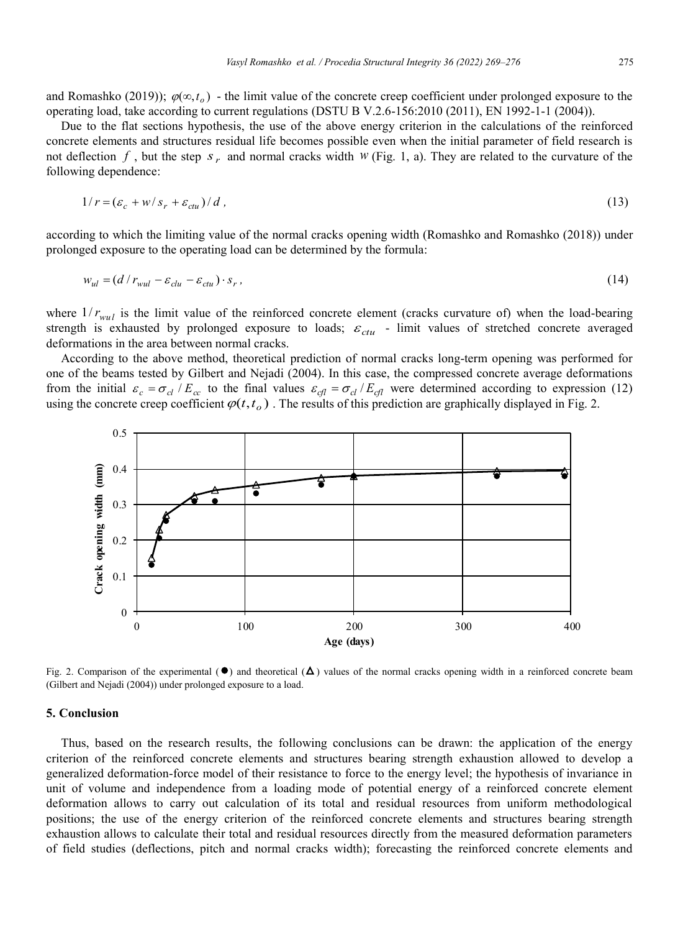and Romashko (2019));  $\varphi(\infty, t_o)$  - the limit value of the concrete creep coefficient under prolonged exposure to the operating load, take according to current regulations (DSTU B V.2.6-156:2010 (2011), EN 1992-1-1 (2004)).

Due to the flat sections hypothesis, the use of the above energy criterion in the calculations of the reinforced concrete elements and structures residual life becomes possible even when the initial parameter of field research is not deflection  $f$ , but the step  $s_r$  and normal cracks width  $W$  (Fig. 1, a). They are related to the curvature of the following dependence:

$$
1/r = (\varepsilon_c + w/s_r + \varepsilon_{\text{ctu}})/d \tag{13}
$$

according to which the limiting value of the normal cracks opening width (Romashko and Romashko (2018)) under prolonged exposure to the operating load can be determined by the formula:

$$
w_{ul} = (d/r_{wall} - \varepsilon_{clu} - \varepsilon_{ctu}) \cdot s_r, \tag{14}
$$

where  $1/r_{\text{wul}}$  is the limit value of the reinforced concrete element (cracks curvature of) when the load-bearing strength is exhausted by prolonged exposure to loads;  $\varepsilon_{\text{ctu}}$  - limit values of stretched concrete averaged deformations in the area between normal cracks.

According to the above method, theoretical prediction of normal cracks long-term opening was performed for one of the beams tested by Gilbert and Nejadi (2004). In this case, the compressed concrete average deformations from the initial  $\varepsilon_c = \sigma_{cl}/E_{cc}$  to the final values  $\varepsilon_{cl} = \sigma_{cl}/E_{cl}$  were determined according to expression (12) using the concrete creep coefficient  $\varphi(t, t_0)$ . The results of this prediction are graphically displayed in Fig. 2.



Fig. 2. Comparison of the experimental  $(\bullet)$  and theoretical  $(\Delta)$  values of the normal cracks opening width in a reinforced concrete beam (Gilbert and Nejadi (2004)) under prolonged exposure to a load.

#### **5. Conclusion**

Thus, based on the research results, the following conclusions can be drawn: the application of the energy criterion of the reinforced concrete elements and structures bearing strength exhaustion allowed to develop a generalized deformation-force model of their resistance to force to the energy level; the hypothesis of invariance in unit of volume and independence from a loading mode of potential energy of a reinforced concrete element deformation allows to carry out calculation of its total and residual resources from uniform methodological positions; the use of the energy criterion of the reinforced concrete elements and structures bearing strength exhaustion allows to calculate their total and residual resources directly from the measured deformation parameters of field studies (deflections, pitch and normal cracks width); forecasting the reinforced concrete elements and